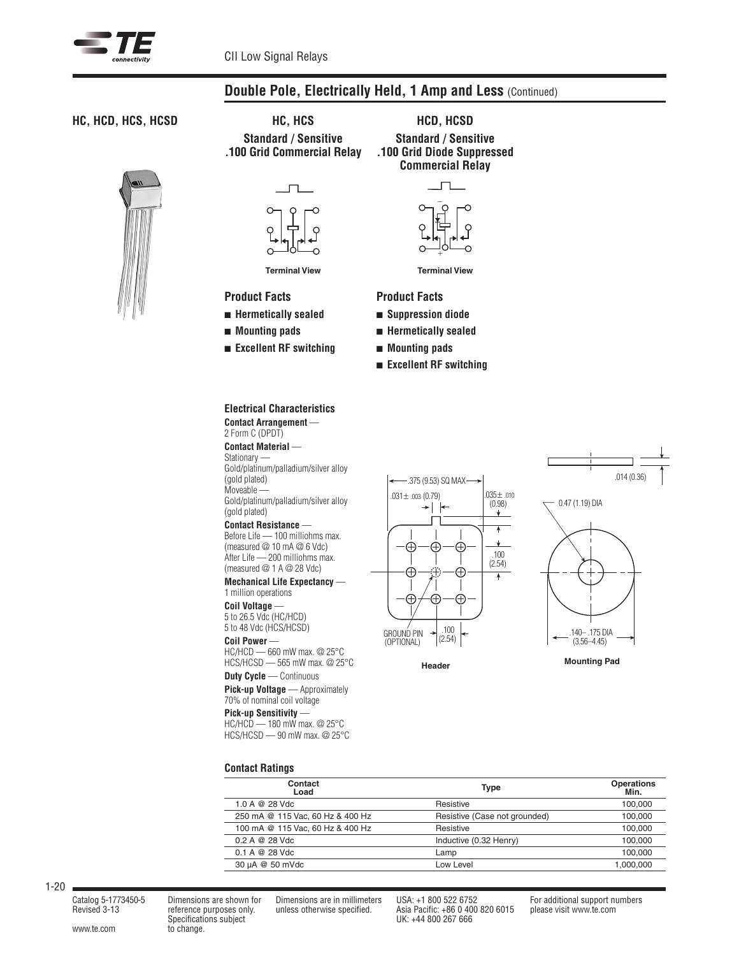

# **Double Pole, Electrically Held, 1 Amp and Less** (Continued)

### **HC, HCD, HCS, HCSD**



**HC, HCS Standard / Sensitive .100 Grid Commercial Relay**



## **Product Facts**

- <sup>n</sup> **Hermetically sealed**
- <sup>n</sup> **Mounting pads**
- <sup>n</sup> **Excellent RF switching**

**Electrical Characteristics Contact Arrangement** — 2 Form C (DPDT) **Contact Material** — Stationary —

Gold/platinum/palladium/silver alloy

Gold/platinum/palladium/silver alloy

HC/HCD — 660 mW max. @ 25°C HCS/HCSD — 565 mW max. @ 25°C **Duty Cycle** — Continuous **Pick-up Voltage** — Approximately 70% of nominal coil voltage **Pick-up Sensitivity** — HC/HCD — 180 mW max. @ 25°C HCS/HCSD — 90 mW max. @ 25°C

**Contact Resistance** — Before Life — 100 milliohms max. (measured @ 10 mA @ 6 Vdc) After Life — 200 milliohms max. (measured @ 1 A @ 28 Vdc) **Mechanical Life Expectancy** —

1 million operations **Coil Voltage** — 5 to 26.5 Vdc (HC/HCD) 5 to 48 Vdc (HCS/HCSD) **Coil Power** —

(gold plated) Moveable —

(gold plated)



- 
- 





**Header**

**Mounting Pad**

**Contact Ratings** 

| Contact<br>Load                  | <b>Type</b>                   | <b>Operations</b><br>Min. |  |
|----------------------------------|-------------------------------|---------------------------|--|
| 1.0 A @ 28 Vdc                   | Resistive                     | 100,000                   |  |
| 250 mA @ 115 Vac, 60 Hz & 400 Hz | Resistive (Case not grounded) | 100.000                   |  |
| 100 mA @ 115 Vac, 60 Hz & 400 Hz | Resistive                     | 100.000                   |  |
| 0.2 A @ 28 Vdc                   | Inductive (0.32 Henry)        | 100.000                   |  |
| 0.1 A @ 28 Vdc                   | Lamp                          | 100.000                   |  |
| 30 µA @ 50 mVdc                  | Low Level                     | 1,000,000                 |  |
|                                  |                               |                           |  |

1-20

www.te.com to change.

Specifications subject UK: +44 800 267 666

Catalog 5-1773450-5 Dimensions are shown for Dimensions are in millimeters USA: +1 800 522 6752 For additional support numbers Revised 3-13 reference purposes only. unless otherwise specified. Asia Pacific: +86 0 400 820 6015 please visit www.te.com

**Commercial Relay**  $\Box$ 



 $\overline{a}$ 

**HCD, HCSD Standard / Sensitive .100 Grid Diode Suppressed**

**Terminal View Terminal View**

**Product Facts**

- **n** Hermetically sealed
- $\blacksquare$  Mounting pads
- <sup>n</sup> **Excellent RF switching**